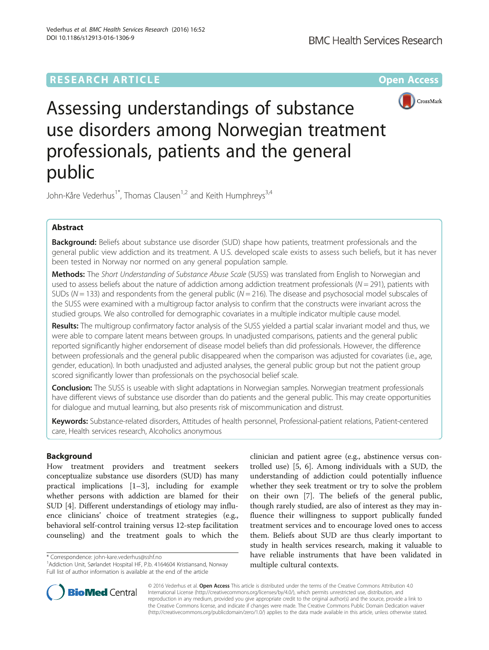# **RESEARCH ARTICLE External Structure Community Community Community Community Community Community Community Community**



Assessing understandings of substance use disorders among Norwegian treatment professionals, patients and the general public

John-Kåre Vederhus<sup>1\*</sup>, Thomas Clausen<sup>1,2</sup> and Keith Humphreys<sup>3,4</sup>

## Abstract

Background: Beliefs about substance use disorder (SUD) shape how patients, treatment professionals and the general public view addiction and its treatment. A U.S. developed scale exists to assess such beliefs, but it has never been tested in Norway nor normed on any general population sample.

Methods: The Short Understanding of Substance Abuse Scale (SUSS) was translated from English to Norwegian and used to assess beliefs about the nature of addiction among addiction treatment professionals ( $N = 291$ ), patients with SUDs ( $N = 133$ ) and respondents from the general public ( $N = 216$ ). The disease and psychosocial model subscales of the SUSS were examined with a multigroup factor analysis to confirm that the constructs were invariant across the studied groups. We also controlled for demographic covariates in a multiple indicator multiple cause model.

Results: The multigroup confirmatory factor analysis of the SUSS yielded a partial scalar invariant model and thus, we were able to compare latent means between groups. In unadjusted comparisons, patients and the general public reported significantly higher endorsement of disease model beliefs than did professionals. However, the difference between professionals and the general public disappeared when the comparison was adjusted for covariates (i.e., age, gender, education). In both unadjusted and adjusted analyses, the general public group but not the patient group scored significantly lower than professionals on the psychosocial belief scale.

**Conclusion:** The SUSS is useable with slight adaptations in Norwegian samples. Norwegian treatment professionals have different views of substance use disorder than do patients and the general public. This may create opportunities for dialogue and mutual learning, but also presents risk of miscommunication and distrust.

Keywords: Substance-related disorders, Attitudes of health personnel, Professional-patient relations, Patient-centered care, Health services research, Alcoholics anonymous

## Background

How treatment providers and treatment seekers conceptualize substance use disorders (SUD) has many practical implications [[1](#page-8-0)–[3\]](#page-8-0), including for example whether persons with addiction are blamed for their SUD [\[4](#page-8-0)]. Different understandings of etiology may influence clinicians' choice of treatment strategies (e.g., behavioral self-control training versus 12-step facilitation counseling) and the treatment goals to which the

clinician and patient agree (e.g., abstinence versus controlled use) [[5, 6](#page-8-0)]. Among individuals with a SUD, the understanding of addiction could potentially influence whether they seek treatment or try to solve the problem on their own [[7\]](#page-8-0). The beliefs of the general public, though rarely studied, are also of interest as they may influence their willingness to support publically funded treatment services and to encourage loved ones to access them. Beliefs about SUD are thus clearly important to study in health services research, making it valuable to have reliable instruments that have been validated in multiple cultural contexts.



© 2016 Vederhus et al. Open Access This article is distributed under the terms of the Creative Commons Attribution 4.0 International License [\(http://creativecommons.org/licenses/by/4.0/](http://creativecommons.org/licenses/by/4.0/)), which permits unrestricted use, distribution, and reproduction in any medium, provided you give appropriate credit to the original author(s) and the source, provide a link to the Creative Commons license, and indicate if changes were made. The Creative Commons Public Domain Dedication waiver [\(http://creativecommons.org/publicdomain/zero/1.0/](http://creativecommons.org/publicdomain/zero/1.0/)) applies to the data made available in this article, unless otherwise stated.

<sup>\*</sup> Correspondence: [john-kare.vederhus@sshf.no](mailto:john-kare.vederhus@sshf.no) <sup>1</sup>

<sup>&</sup>lt;sup>1</sup> Addiction Unit, Sørlandet Hospital HF, P.b. 4164604 Kristiansand, Norway Full list of author information is available at the end of the article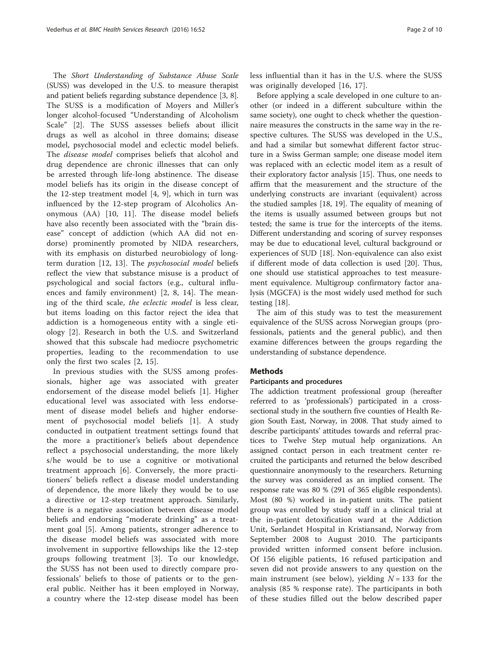The Short Understanding of Substance Abuse Scale (SUSS) was developed in the U.S. to measure therapist and patient beliefs regarding substance dependence [\[3](#page-8-0), [8](#page-8-0)]. The SUSS is a modification of Moyers and Miller's longer alcohol-focused "Understanding of Alcoholism Scale" [\[2](#page-8-0)]. The SUSS assesses beliefs about illicit drugs as well as alcohol in three domains; disease model, psychosocial model and eclectic model beliefs. The disease model comprises beliefs that alcohol and drug dependence are chronic illnesses that can only be arrested through life-long abstinence. The disease model beliefs has its origin in the disease concept of the 12-step treatment model [\[4](#page-8-0), [9\]](#page-8-0), which in turn was influenced by the 12-step program of Alcoholics Anonymous (AA) [[10, 11\]](#page-8-0). The disease model beliefs have also recently been associated with the "brain disease" concept of addiction (which AA did not endorse) prominently promoted by NIDA researchers, with its emphasis on disturbed neurobiology of longterm duration [[12, 13\]](#page-8-0). The psychosocial model beliefs reflect the view that substance misuse is a product of psychological and social factors (e.g., cultural influences and family environment) [[2, 8, 14\]](#page-8-0). The meaning of the third scale, the eclectic model is less clear, but items loading on this factor reject the idea that addiction is a homogeneous entity with a single etiology [\[2](#page-8-0)]. Research in both the U.S. and Switzerland showed that this subscale had mediocre psychometric properties, leading to the recommendation to use only the first two scales [\[2](#page-8-0), [15](#page-8-0)].

In previous studies with the SUSS among professionals, higher age was associated with greater endorsement of the disease model beliefs [\[1](#page-8-0)]. Higher educational level was associated with less endorsement of disease model beliefs and higher endorsement of psychosocial model beliefs [\[1](#page-8-0)]. A study conducted in outpatient treatment settings found that the more a practitioner's beliefs about dependence reflect a psychosocial understanding, the more likely s/he would be to use a cognitive or motivational treatment approach [\[6](#page-8-0)]. Conversely, the more practitioners' beliefs reflect a disease model understanding of dependence, the more likely they would be to use a directive or 12-step treatment approach. Similarly, there is a negative association between disease model beliefs and endorsing "moderate drinking" as a treatment goal [\[5](#page-8-0)]. Among patients, stronger adherence to the disease model beliefs was associated with more involvement in supportive fellowships like the 12-step groups following treatment [\[3](#page-8-0)]. To our knowledge, the SUSS has not been used to directly compare professionals' beliefs to those of patients or to the general public. Neither has it been employed in Norway, a country where the 12-step disease model has been less influential than it has in the U.S. where the SUSS was originally developed [[16, 17](#page-8-0)].

Before applying a scale developed in one culture to another (or indeed in a different subculture within the same society), one ought to check whether the questionnaire measures the constructs in the same way in the respective cultures. The SUSS was developed in the U.S., and had a similar but somewhat different factor structure in a Swiss German sample; one disease model item was replaced with an eclectic model item as a result of their exploratory factor analysis [\[15\]](#page-8-0). Thus, one needs to affirm that the measurement and the structure of the underlying constructs are invariant (equivalent) across the studied samples [[18](#page-8-0), [19\]](#page-8-0). The equality of meaning of the items is usually assumed between groups but not tested; the same is true for the intercepts of the items. Different understanding and scoring of survey responses may be due to educational level, cultural background or experiences of SUD [\[18](#page-8-0)]. Non-equivalence can also exist if different mode of data collection is used [[20\]](#page-8-0). Thus, one should use statistical approaches to test measurement equivalence. Multigroup confirmatory factor analysis (MGCFA) is the most widely used method for such testing [\[18\]](#page-8-0).

The aim of this study was to test the measurement equivalence of the SUSS across Norwegian groups (professionals, patients and the general public), and then examine differences between the groups regarding the understanding of substance dependence.

## **Methods**

## Participants and procedures

The addiction treatment professional group (hereafter referred to as 'professionals') participated in a crosssectional study in the southern five counties of Health Region South East, Norway, in 2008. That study aimed to describe participants' attitudes towards and referral practices to Twelve Step mutual help organizations. An assigned contact person in each treatment center recruited the participants and returned the below described questionnaire anonymously to the researchers. Returning the survey was considered as an implied consent. The response rate was 80 % (291 of 365 eligible respondents). Most (80 %) worked in in-patient units. The patient group was enrolled by study staff in a clinical trial at the in-patient detoxification ward at the Addiction Unit, Sørlandet Hospital in Kristiansand, Norway from September 2008 to August 2010. The participants provided written informed consent before inclusion. Of 156 eligible patients, 16 refused participation and seven did not provide answers to any question on the main instrument (see below), yielding  $N = 133$  for the analysis (85 % response rate). The participants in both of these studies filled out the below described paper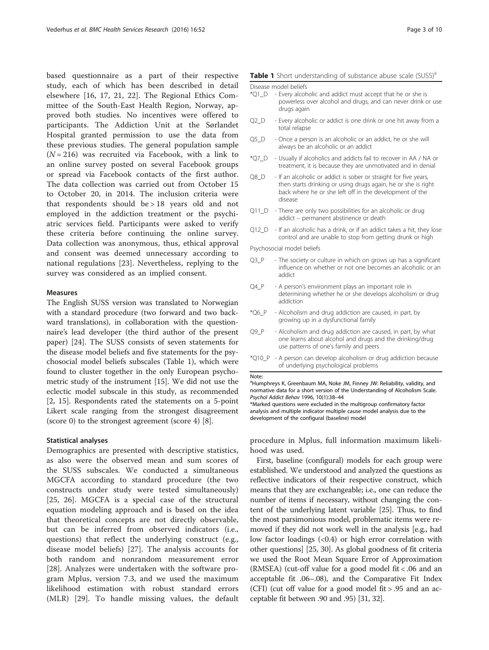<span id="page-2-0"></span>based questionnaire as a part of their respective study, each of which has been described in detail elsewhere [[16](#page-8-0), [17, 21, 22](#page-8-0)]. The Regional Ethics Committee of the South-East Health Region, Norway, approved both studies. No incentives were offered to participants. The Addiction Unit at the Sørlandet Hospital granted permission to use the data from these previous studies. The general population sample  $(N = 216)$  was recruited via Facebook, with a link to an online survey posted on several Facebook groups or spread via Facebook contacts of the first author. The data collection was carried out from October 15 to October 20, in 2014. The inclusion criteria were that respondents should be > 18 years old and not employed in the addiction treatment or the psychiatric services field. Participants were asked to verify these criteria before continuing the online survey. Data collection was anonymous, thus, ethical approval and consent was deemed unnecessary according to national regulations [[23\]](#page-8-0). Nevertheless, replying to the survey was considered as an implied consent.

#### Measures

The English SUSS version was translated to Norwegian with a standard procedure (two forward and two backward translations), in collaboration with the questionnaire's lead developer (the third author of the present paper) [\[24\]](#page-9-0). The SUSS consists of seven statements for the disease model beliefs and five statements for the psychosocial model beliefs subscales (Table 1), which were found to cluster together in the only European psychometric study of the instrument [\[15\]](#page-8-0). We did not use the eclectic model subscale in this study, as recommended [[2, 15\]](#page-8-0). Respondents rated the statements on a 5-point Likert scale ranging from the strongest disagreement (score 0) to the strongest agreement (score 4) [[8\]](#page-8-0).

### Statistical analyses

Demographics are presented with descriptive statistics, as also were the observed mean and sum scores of the SUSS subscales. We conducted a simultaneous MGCFA according to standard procedure (the two constructs under study were tested simultaneously) [[25, 26\]](#page-9-0). MGCFA is a special case of the structural equation modeling approach and is based on the idea that theoretical concepts are not directly observable, but can be inferred from observed indicators (i.e., questions) that reflect the underlying construct (e.g., disease model beliefs) [[27\]](#page-9-0). The analysis accounts for both random and nonrandom measurement error [[28\]](#page-9-0). Analyzes were undertaken with the software program Mplus, version 7.3, and we used the maximum likelihood estimation with robust standard errors (MLR) [[29](#page-9-0)]. To handle missing values, the default

### Table 1 Short understanding of substance abuse scale (SUSS)<sup>a</sup>

Disease model beliefs

- \*Q1\_D Every alcoholic and addict must accept that he or she is powerless over alcohol and drugs, and can never drink or use drugs again
- Q2\_D Every alcoholic or addict is one drink or one hit away from a total relapse
- Q5\_D Once a person is an alcoholic or an addict, he or she will always be an alcoholic or an addict
- \*Q7\_D Usually if alcoholics and addicts fail to recover in AA / NA or treatment, it is because they are unmotivated and in denial
- Q8\_D If an alcoholic or addict is sober or straight for five years, then starts drinking or using drugs again, he or she is right back where he or she left off in the development of the disease
- Q11\_D There are only two possibilities for an alcoholic or drug addict – permanent abstinence or death
- Q12\_D If an alcoholic has a drink, or if an addict takes a hit, they lose control and are unable to stop from getting drunk or high

Psychosocial model beliefs

- Q3\_P The society or culture in which on grows up has a significant influence on whether or not one becomes an alcoholic or an addict
- Q4\_P A person's environment plays an important role in determining whether he or she develops alcoholism or drug addiction
- \*Q6\_P Alcoholism and drug addiction are caused, in part, by growing up in a dysfunctional family
- Q9\_P Alcoholism and drug addiction are caused, in part, by what one learns about alcohol and drugs and the drinking/drug use patterns of one's family and peers
- \*Q10\_P A person can develop alcoholism or drug addiction because of underlying psychological problems

Note:

<sup>a</sup>Humphreys K, Greenbaum MA, Noke JM, Finney JW: Reliability, validity, and normative data for a short version of the Understanding of Alcoholism Scale. Psychol Addict Behav 1996, 10(1):38–44

\*Marked questions were excluded in the multigroup confirmatory factor analysis and multiple indicator multiple cause model analysis due to the development of the configural (baseline) model

procedure in Mplus, full information maximum likelihood was used.

First, baseline (configural) models for each group were established. We understood and analyzed the questions as reflective indicators of their respective construct, which means that they are exchangeable; i.e., one can reduce the number of items if necessary, without changing the content of the underlying latent variable [[25](#page-9-0)]. Thus, to find the most parsimonious model, problematic items were removed if they did not work well in the analysis [e.g., had low factor loadings (<0.4) or high error correlation with other questions] [[25, 30](#page-9-0)]. As global goodness of fit criteria we used the Root Mean Square Error of Approximation (RMSEA) (cut-off value for a good model fit < .06 and an acceptable fit .06–.08), and the Comparative Fit Index (CFI) (cut off value for a good model fit > .95 and an acceptable fit between .90 and .95) [\[31, 32](#page-9-0)].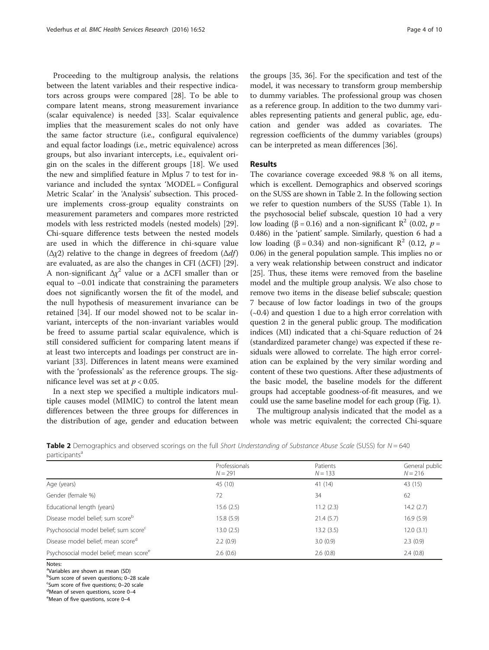Proceeding to the multigroup analysis, the relations between the latent variables and their respective indicators across groups were compared [\[28](#page-9-0)]. To be able to compare latent means, strong measurement invariance (scalar equivalence) is needed [[33\]](#page-9-0). Scalar equivalence implies that the measurement scales do not only have the same factor structure (i.e., configural equivalence) and equal factor loadings (i.e., metric equivalence) across groups, but also invariant intercepts, i.e., equivalent origin on the scales in the different groups [\[18](#page-8-0)]. We used the new and simplified feature in Mplus 7 to test for invariance and included the syntax 'MODEL = Configural Metric Scalar' in the 'Analysis' subsection. This procedure implements cross-group equality constraints on measurement parameters and compares more restricted models with less restricted models (nested models) [\[29](#page-9-0)]. Chi-square difference tests between the nested models are used in which the difference in chi-square value ( $Δχ2$ ) relative to the change in degrees of freedom ( $Δdf$ ) are evaluated, as are also the changes in CFI  $(\triangle$ CFI) [\[29](#page-9-0)]. A non-significant  $\Delta \chi^2$  value or a  $\Delta$ CFI smaller than or equal to −0.01 indicate that constraining the parameters does not significantly worsen the fit of the model, and the null hypothesis of measurement invariance can be retained [\[34\]](#page-9-0). If our model showed not to be scalar invariant, intercepts of the non-invariant variables would be freed to assume partial scalar equivalence, which is still considered sufficient for comparing latent means if at least two intercepts and loadings per construct are invariant [[33](#page-9-0)]. Differences in latent means were examined with the 'professionals' as the reference groups. The significance level was set at  $p < 0.05$ .

In a next step we specified a multiple indicators multiple causes model (MIMIC) to control the latent mean differences between the three groups for differences in the distribution of age, gender and education between

the groups [[35](#page-9-0), [36\]](#page-9-0). For the specification and test of the model, it was necessary to transform group membership to dummy variables. The professional group was chosen as a reference group. In addition to the two dummy variables representing patients and general public, age, education and gender was added as covariates. The regression coefficients of the dummy variables (groups) can be interpreted as mean differences [\[36\]](#page-9-0).

## Results

The covariance coverage exceeded 98.8 % on all items, which is excellent. Demographics and observed scorings on the SUSS are shown in Table 2. In the following section we refer to question numbers of the SUSS (Table [1\)](#page-2-0). In the psychosocial belief subscale, question 10 had a very low loading (β = 0.16) and a non-significant  $\mathbb{R}^2$  (0.02, *p* = 0.486) in the 'patient' sample. Similarly, question 6 had a low loading (β = 0.34) and non-significant  $\mathbb{R}^2$  (0.12, *p* = 0.06) in the general population sample. This implies no or a very weak relationship between construct and indicator [[25](#page-9-0)]. Thus, these items were removed from the baseline model and the multiple group analysis. We also chose to remove two items in the disease belief subscale; question 7 because of low factor loadings in two of the groups (∼0.4) and question 1 due to a high error correlation with question 2 in the general public group. The modification indices (MI) indicated that a chi-Square reduction of 24 (standardized parameter change) was expected if these residuals were allowed to correlate. The high error correlation can be explained by the very similar wording and content of these two questions. After these adjustments of the basic model, the baseline models for the different groups had acceptable goodness-of-fit measures, and we could use the same baseline model for each group (Fig. [1\)](#page-4-0).

The multigroup analysis indicated that the model as a whole was metric equivalent; the corrected Chi-square

**Table 2** Demographics and observed scorings on the full Short Understanding of Substance Abuse Scale (SUSS) for  $N = 640$ participantsa

| participarity                                      |                            |                       |                             |  |  |
|----------------------------------------------------|----------------------------|-----------------------|-----------------------------|--|--|
|                                                    | Professionals<br>$N = 291$ | Patients<br>$N = 133$ | General public<br>$N = 216$ |  |  |
| Age (years)                                        | 45 (10)                    | 41 (14)               | 43 (15)                     |  |  |
| Gender (female %)                                  | 72                         | 34                    | 62                          |  |  |
| Educational length (years)                         | 15.6(2.5)                  | 11.2(2.3)             | 14.2(2.7)                   |  |  |
| Disease model belief; sum score <sup>b</sup>       | 15.8(5.9)                  | 21.4(5.7)             | 16.9(5.9)                   |  |  |
| Psychosocial model belief; sum score <sup>c</sup>  | 13.0(2.5)                  | 13.2(3.5)             | 12.0(3.1)                   |  |  |
| Disease model belief; mean scored                  | 2.2(0.9)                   | 3.0(0.9)              | 2.3(0.9)                    |  |  |
| Psychosocial model belief; mean score <sup>e</sup> | 2.6(0.6)                   | 2.6(0.8)              | 2.4(0.8)                    |  |  |
| Notes:                                             |                            |                       |                             |  |  |

<sup>a</sup>Variables are shown as mean (SD)

b<br>Sum score of five questions; 0–28 scale<br>Sum score of five questions: 0–20 scale <sup>c</sup>Sum score of five questions; 0-20 scale

 $d$ Mean of seven questions, score 0–4

Mean of five questions, score 0–4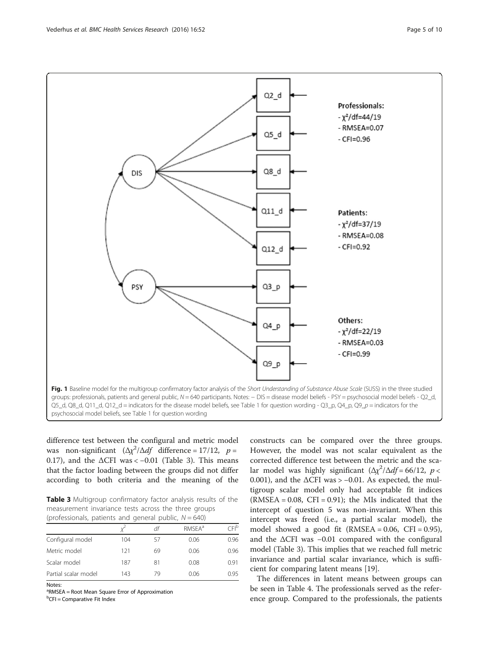<span id="page-4-0"></span>

difference test between the configural and metric model was non-significant  $(\Delta \chi^2 / \Delta df)$  difference = 17/12,  $p =$ 0.17), and the  $\triangle$ CFI was < -0.01 (Table 3). This means that the factor loading between the groups did not differ according to both criteria and the meaning of the

Table 3 Multigroup confirmatory factor analysis results of the measurement invariance tests across the three groups (professionals, patients and general public,  $N = 640$ )

|                      |     | df | <b>RMSFA</b> <sup>a</sup> | `FI <sup>b</sup> |
|----------------------|-----|----|---------------------------|------------------|
| Configural model     | 104 | 57 | 0.06                      | 0.96             |
| Metric model         | 121 | 69 | 0.06                      | 0.96             |
| Scalar model         | 187 | 81 | 0.08                      | 0.91             |
| Partial scalar model | 143 | 79 | 0.06                      | 0.95             |
| Notes:               |     |    |                           |                  |

<sup>a</sup>RMSEA = Root Mean Square Error of Approximation

<sup>b</sup>CFI = Comparative Fit Index

constructs can be compared over the three groups. However, the model was not scalar equivalent as the corrected difference test between the metric and the scalar model was highly significant  $(\Delta \chi^2 / \Delta df = 66/12, p <$ 0.001), and the  $\Delta$ CFI was > -0.01. As expected, the multigroup scalar model only had acceptable fit indices  $(RMSEA = 0.08, CFI = 0.91)$ ; the MIs indicated that the intercept of question 5 was non-invariant. When this intercept was freed (i.e., a partial scalar model), the model showed a good fit  $(RMSEA = 0.06, CFI = 0.95)$ , and the ΔCFI was −0.01 compared with the configural model (Table 3). This implies that we reached full metric invariance and partial scalar invariance, which is sufficient for comparing latent means [\[19\]](#page-8-0).

The differences in latent means between groups can be seen in Table [4](#page-5-0). The professionals served as the reference group. Compared to the professionals, the patients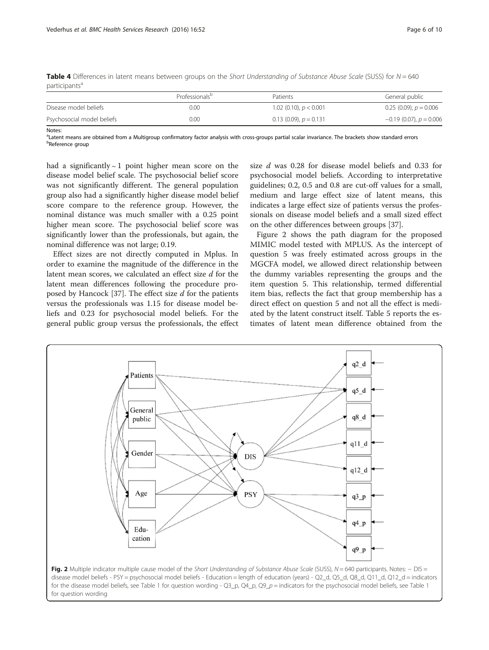Notes:

|                            | Professionals <sup>p</sup> | Patients                   | General public              |  |  |
|----------------------------|----------------------------|----------------------------|-----------------------------|--|--|
| Disease model beliefs      | 0.00                       | 1.02 (0.10), $p < 0.001$   | $0.25(0.09)$ , $p = 0.006$  |  |  |
| Psychosocial model beliefs | 0.00                       | $0.13(0.09)$ , $p = 0.131$ | $-0.19(0.07)$ , $p = 0.006$ |  |  |

<span id="page-5-0"></span>**Table 4** Differences in latent means between groups on the Short Understanding of Substance Abuse Scale (SUSS) for  $N = 640$ participants<sup>a</sup>

<sup>a</sup>Latent means are obtained from a Multigroup confirmatory factor analysis with cross-groups partial scalar invariance. The brackets show standard errors<br><sup>bp</sup>aferance group **b**Reference group

had a significantly ∼ 1 point higher mean score on the disease model belief scale. The psychosocial belief score was not significantly different. The general population group also had a significantly higher disease model belief score compare to the reference group. However, the nominal distance was much smaller with a 0.25 point higher mean score. The psychosocial belief score was significantly lower than the professionals, but again, the nominal difference was not large; 0.19.

Effect sizes are not directly computed in Mplus. In order to examine the magnitude of the difference in the latent mean scores, we calculated an effect size d for the latent mean differences following the procedure pro-posed by Hancock [\[37](#page-9-0)]. The effect size  $d$  for the patients versus the professionals was 1.15 for disease model beliefs and 0.23 for psychosocial model beliefs. For the general public group versus the professionals, the effect

size d was 0.28 for disease model beliefs and 0.33 for psychosocial model beliefs. According to interpretative guidelines; 0.2, 0.5 and 0.8 are cut-off values for a small, medium and large effect size of latent means, this indicates a large effect size of patients versus the professionals on disease model beliefs and a small sized effect on the other differences between groups [\[37\]](#page-9-0).

Figure 2 shows the path diagram for the proposed MIMIC model tested with MPLUS. As the intercept of question 5 was freely estimated across groups in the MGCFA model, we allowed direct relationship between the dummy variables representing the groups and the item question 5. This relationship, termed differential item bias, reflects the fact that group membership has a direct effect on question 5 and not all the effect is mediated by the latent construct itself. Table [5](#page-6-0) reports the estimates of latent mean difference obtained from the



for the disease model beliefs, see Table [1](#page-2-0) for question wording -  $Q3_p$ ,  $Q4_p$ ,  $Q9_p$  = indicators for the psychosocial model beliefs, see Table 1 for question wording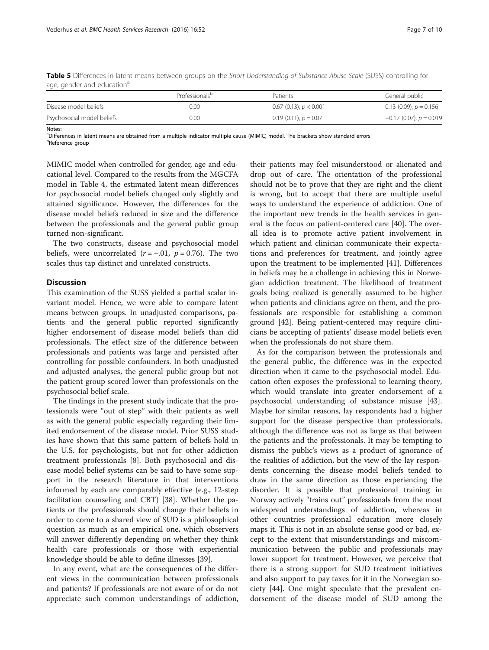|                            | Professionals <sup>p</sup> | Patients                   | General public              |
|----------------------------|----------------------------|----------------------------|-----------------------------|
| Disease model beliefs      | 0.00                       | $0.67$ (0.13), $p < 0.001$ | 0.13 (0.09), $p = 0.156$    |
| Psychosocial model beliefs | 0.00                       | $0.19(0.11)$ , $p = 0.07$  | $-0.17$ (0.07), $p = 0.019$ |

<span id="page-6-0"></span>Table 5 Differences in latent means between groups on the Short Understanding of Substance Abuse Scale (SUSS) controlling for age, gender and education<sup>a</sup>

Notes:

a Differences in latent means are obtained from a multiple indicator multiple cause (MIMIC) model. The brackets show standard errors <sup>b</sup>Reference group

MIMIC model when controlled for gender, age and educational level. Compared to the results from the MGCFA model in Table [4](#page-5-0), the estimated latent mean differences for psychosocial model beliefs changed only slightly and attained significance. However, the differences for the disease model beliefs reduced in size and the difference between the professionals and the general public group turned non-significant.

The two constructs, disease and psychosocial model beliefs, were uncorrelated ( $r = -0.01$ ,  $p = 0.76$ ). The two scales thus tap distinct and unrelated constructs.

## **Discussion**

This examination of the SUSS yielded a partial scalar invariant model. Hence, we were able to compare latent means between groups. In unadjusted comparisons, patients and the general public reported significantly higher endorsement of disease model beliefs than did professionals. The effect size of the difference between professionals and patients was large and persisted after controlling for possible confounders. In both unadjusted and adjusted analyses, the general public group but not the patient group scored lower than professionals on the psychosocial belief scale.

The findings in the present study indicate that the professionals were "out of step" with their patients as well as with the general public especially regarding their limited endorsement of the disease model. Prior SUSS studies have shown that this same pattern of beliefs hold in the U.S. for psychologists, but not for other addiction treatment professionals [[8](#page-8-0)]. Both psychosocial and disease model belief systems can be said to have some support in the research literature in that interventions informed by each are comparably effective (e.g., 12-step facilitation counseling and CBT) [[38\]](#page-9-0). Whether the patients or the professionals should change their beliefs in order to come to a shared view of SUD is a philosophical question as much as an empirical one, which observers will answer differently depending on whether they think health care professionals or those with experiential knowledge should be able to define illnesses [[39](#page-9-0)].

In any event, what are the consequences of the different views in the communication between professionals and patients? If professionals are not aware of or do not appreciate such common understandings of addiction,

their patients may feel misunderstood or alienated and drop out of care. The orientation of the professional should not be to prove that they are right and the client is wrong, but to accept that there are multiple useful ways to understand the experience of addiction. One of the important new trends in the health services in general is the focus on patient-centered care [[40\]](#page-9-0). The overall idea is to promote active patient involvement in which patient and clinician communicate their expectations and preferences for treatment, and jointly agree upon the treatment to be implemented [\[41\]](#page-9-0). Differences in beliefs may be a challenge in achieving this in Norwegian addiction treatment. The likelihood of treatment goals being realized is generally assumed to be higher when patients and clinicians agree on them, and the professionals are responsible for establishing a common ground [\[42\]](#page-9-0). Being patient-centered may require clinicians be accepting of patients' disease model beliefs even when the professionals do not share them.

As for the comparison between the professionals and the general public, the difference was in the expected direction when it came to the psychosocial model. Education often exposes the professional to learning theory, which would translate into greater endorsement of a psychosocial understanding of substance misuse [\[43](#page-9-0)]. Maybe for similar reasons, lay respondents had a higher support for the disease perspective than professionals, although the difference was not as large as that between the patients and the professionals. It may be tempting to dismiss the public's views as a product of ignorance of the realities of addiction, but the view of the lay respondents concerning the disease model beliefs tended to draw in the same direction as those experiencing the disorder. It is possible that professional training in Norway actively "trains out" professionals from the most widespread understandings of addiction, whereas in other countries professional education more closely maps it. This is not in an absolute sense good or bad, except to the extent that misunderstandings and miscommunication between the public and professionals may lower support for treatment. However, we perceive that there is a strong support for SUD treatment initiatives and also support to pay taxes for it in the Norwegian society [\[44](#page-9-0)]. One might speculate that the prevalent endorsement of the disease model of SUD among the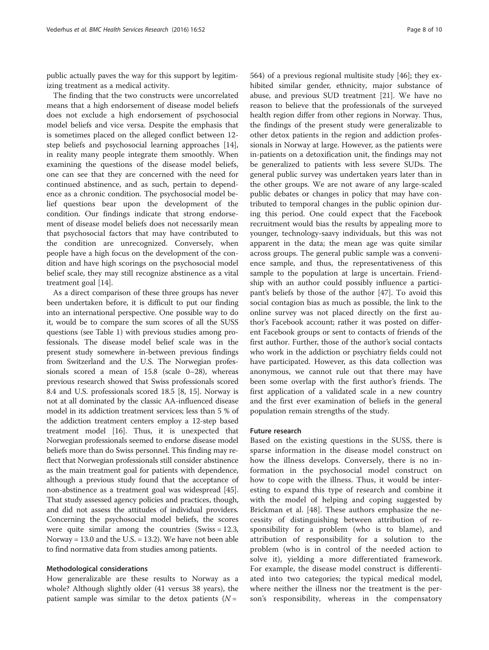public actually paves the way for this support by legitimizing treatment as a medical activity.

The finding that the two constructs were uncorrelated means that a high endorsement of disease model beliefs does not exclude a high endorsement of psychosocial model beliefs and vice versa. Despite the emphasis that is sometimes placed on the alleged conflict between 12 step beliefs and psychosocial learning approaches [\[14](#page-8-0)], in reality many people integrate them smoothly. When examining the questions of the disease model beliefs, one can see that they are concerned with the need for continued abstinence, and as such, pertain to dependence as a chronic condition. The psychosocial model belief questions bear upon the development of the condition. Our findings indicate that strong endorsement of disease model beliefs does not necessarily mean that psychosocial factors that may have contributed to the condition are unrecognized. Conversely, when people have a high focus on the development of the condition and have high scorings on the psychosocial model belief scale, they may still recognize abstinence as a vital treatment goal [[14](#page-8-0)].

As a direct comparison of these three groups has never been undertaken before, it is difficult to put our finding into an international perspective. One possible way to do it, would be to compare the sum scores of all the SUSS questions (see Table [1](#page-2-0)) with previous studies among professionals. The disease model belief scale was in the present study somewhere in-between previous findings from Switzerland and the U.S. The Norwegian professionals scored a mean of 15.8 (scale 0–28), whereas previous research showed that Swiss professionals scored 8.4 and U.S. professionals scored 18.5 [[8](#page-8-0), [15](#page-8-0)]. Norway is not at all dominated by the classic AA-influenced disease model in its addiction treatment services; less than 5 % of the addiction treatment centers employ a 12-step based treatment model [[16](#page-8-0)]. Thus, it is unexpected that Norwegian professionals seemed to endorse disease model beliefs more than do Swiss personnel. This finding may reflect that Norwegian professionals still consider abstinence as the main treatment goal for patients with dependence, although a previous study found that the acceptance of non-abstinence as a treatment goal was widespread [[45](#page-9-0)]. That study assessed agency policies and practices, though, and did not assess the attitudes of individual providers. Concerning the psychosocial model beliefs, the scores were quite similar among the countries  $(Swiss = 12.3,$ Norway = 13.0 and the U.S. = 13.2). We have not been able to find normative data from studies among patients.

### Methodological considerations

How generalizable are these results to Norway as a whole? Although slightly older (41 versus 38 years), the patient sample was similar to the detox patients  $(N =$ 

564) of a previous regional multisite study [[46\]](#page-9-0); they exhibited similar gender, ethnicity, major substance of abuse, and previous SUD treatment [[21\]](#page-8-0). We have no reason to believe that the professionals of the surveyed health region differ from other regions in Norway. Thus, the findings of the present study were generalizable to other detox patients in the region and addiction professionals in Norway at large. However, as the patients were in-patients on a detoxification unit, the findings may not be generalized to patients with less severe SUDs. The general public survey was undertaken years later than in the other groups. We are not aware of any large-scaled public debates or changes in policy that may have contributed to temporal changes in the public opinion during this period. One could expect that the Facebook recruitment would bias the results by appealing more to younger, technology-saavy individuals, but this was not apparent in the data; the mean age was quite similar across groups. The general public sample was a convenience sample, and thus, the representativeness of this sample to the population at large is uncertain. Friendship with an author could possibly influence a participant's beliefs by those of the author [[47](#page-9-0)]. To avoid this social contagion bias as much as possible, the link to the online survey was not placed directly on the first author's Facebook account; rather it was posted on different Facebook groups or sent to contacts of friends of the first author. Further, those of the author's social contacts who work in the addiction or psychiatry fields could not have participated. However, as this data collection was anonymous, we cannot rule out that there may have been some overlap with the first author's friends. The first application of a validated scale in a new country and the first ever examination of beliefs in the general population remain strengths of the study.

### Future research

Based on the existing questions in the SUSS, there is sparse information in the disease model construct on how the illness develops. Conversely, there is no information in the psychosocial model construct on how to cope with the illness. Thus, it would be interesting to expand this type of research and combine it with the model of helping and coping suggested by Brickman et al. [[48\]](#page-9-0). These authors emphasize the necessity of distinguishing between attribution of responsibility for a problem (who is to blame), and attribution of responsibility for a solution to the problem (who is in control of the needed action to solve it), yielding a more differentiated framework. For example, the disease model construct is differentiated into two categories; the typical medical model, where neither the illness nor the treatment is the person's responsibility, whereas in the compensatory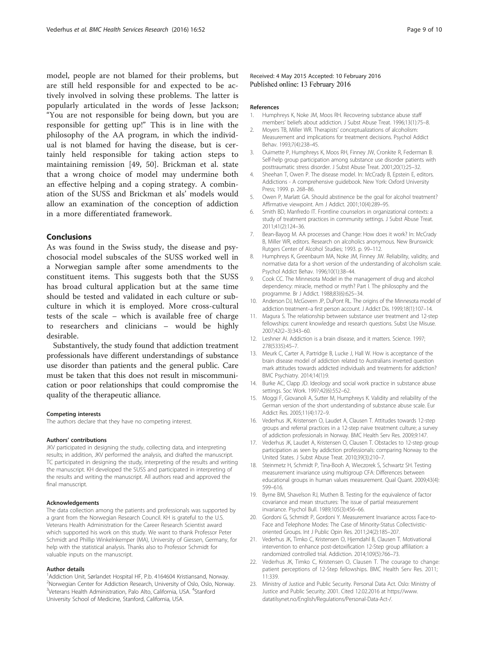<span id="page-8-0"></span>model, people are not blamed for their problems, but are still held responsible for and expected to be actively involved in solving these problems. The latter is popularly articulated in the words of Jesse Jackson; "You are not responsible for being down, but you are responsible for getting up!" This is in line with the philosophy of the AA program, in which the individual is not blamed for having the disease, but is certainly held responsible for taking action steps to maintaining remission [\[49](#page-9-0), [50\]](#page-9-0). Brickman et al. state that a wrong choice of model may undermine both an effective helping and a coping strategy. A combination of the SUSS and Brickman et als' models would allow an examination of the conception of addiction in a more differentiated framework.

## Conclusions

As was found in the Swiss study, the disease and psychosocial model subscales of the SUSS worked well in a Norwegian sample after some amendments to the constituent items. This suggests both that the SUSS has broad cultural application but at the same time should be tested and validated in each culture or subculture in which it is employed. More cross-cultural tests of the scale – which is available free of charge to researchers and clinicians – would be highly desirable.

Substantively, the study found that addiction treatment professionals have different understandings of substance use disorder than patients and the general public. Care must be taken that this does not result in miscommunication or poor relationships that could compromise the quality of the therapeutic alliance.

#### Competing interests

The authors declare that they have no competing interest.

#### Authors' contributions

JKV participated in designing the study, collecting data, and interpreting results; in addition, JKV performed the analysis, and drafted the manuscript. TC participated in designing the study, interpreting of the results and writing the manuscript. KH developed the SUSS and participated in interpreting of the results and writing the manuscript. All authors read and approved the final manuscript.

#### Acknowledgements

The data collection among the patients and professionals was supported by a grant from the Norwegian Research Council. KH is grateful to the U.S. Veterans Health Administration for the Career Research Scientist award which supported his work on this study. We want to thank Professor Peter Schmidt and Phillip Winkelnkemper (MA), University of Giessen, Germany, for help with the statistical analysis. Thanks also to Professor Schmidt for valuable inputs on the manuscript.

#### Author details

<sup>1</sup> Addiction Unit, Sørlandet Hospital HF, P.b. 4164604 Kristiansand, Norway. <sup>2</sup>Norwegian Center for Addiction Research, University of Oslo, Oslo, Norway. <sup>3</sup>Veterans Health Administration, Palo Alto, California, USA. <sup>4</sup>Stanford University School of Medicine, Stanford, California, USA.

Received: 4 May 2015 Accepted: 10 February 2016 Published online: 13 February 2016

#### References

- 1. Humphreys K, Noke JM, Moos RH. Recovering substance abuse staff members' beliefs about addiction. J Subst Abuse Treat. 1996;13(1):75–8.
- 2. Moyers TB, Miller WR. Therapists' conceptualizations of alcoholism: Measurement and implications for treatment decisions. Psychol Addict Behav. 1993;7(4):238–45.
- 3. Ouimette P, Humphreys K, Moos RH, Finney JW, Cronkite R, Federman B. Self-help group participation among substance use disorder patients with posttraumatic stress disorder. J Subst Abuse Treat. 2001;20(1):25–32.
- 4. Sheehan T, Owen P. The disease model. In: McCrady B, Epstein E, editors. Addictions - A comprehensive guidebook. New York: Oxford University Press; 1999. p. 268–86.
- 5. Owen P, Marlatt GA. Should abstinence be the goal for alcohol treatment? Affirmative viewpoint. Am J Addict. 2001;10(4):289–95.
- 6. Smith BD, Manfredo IT. Frontline counselors in organizational contexts: a study of treatment practices in community settings. J Subst Abuse Treat. 2011;41(2):124–36.
- 7. Bean-Bayog M. AA processes and Change: How does it work? In: McCrady B, Miller WR, editors. Research on alcoholics anonymous. New Brunswick: Rutgers Center of Alcohol Studies; 1993. p. 99–112.
- 8. Humphreys K, Greenbaum MA, Noke JM, Finney JW. Reliability, validity, and normative data for a short version of the understanding of alcoholism scale. Psychol Addict Behav. 1996;10(1):38–44.
- 9. Cook CC. The Minnesota Model in the management of drug and alcohol dependency: miracle, method or myth? Part I. The philosophy and the programme. Br J Addict. 1988;83(6):625–34.
- 10. Anderson DJ, McGovern JP, DuPont RL. The origins of the Minnesota model of addiction treatment–a first person account. J Addict Dis. 1999;18(1):107–14.
- 11. Magura S. The relationship between substance user treatment and 12-step fellowships: current knowledge and research questions. Subst Use Misuse. 2007;42(2–3):343–60.
- 12. Leshner AI. Addiction is a brain disease, and it matters. Science. 1997; 278(5335):45–7.
- 13. Meurk C, Carter A, Partridge B, Lucke J, Hall W. How is acceptance of the brain disease model of addiction related to Australians inverted question mark attitudes towards addicted individuals and treatments for addiction? BMC Psychiatry. 2014;14(1):9.
- 14. Burke AC, Clapp JD. Ideology and social work practice in substance abuse settings. Soc Work. 1997;42(6):552–62.
- 15. Moggi F, Giovanoli A, Sutter M, Humphreys K. Validity and reliability of the German version of the short understanding of substance abuse scale. Eur Addict Res. 2005;11(4):172–9.
- 16. Vederhus JK, Kristensen O, Laudet A, Clausen T. Attitudes towards 12-step groups and referral practices in a 12-step naive treatment culture; a survey of addiction professionals in Norway. BMC Health Serv Res. 2009;9:147.
- 17. Vederhus JK, Laudet A, Kristensen O, Clausen T. Obstacles to 12-step group participation as seen by addiction professionals: comparing Norway to the United States. J Subst Abuse Treat. 2010;39(3):210–7.
- 18. Steinmetz H, Schmidt P, Tina-Booh A, Wieczorek S, Schwartz SH. Testing measurement invariance using multigroup CFA: Differences between educational groups in human values measurement. Qual Quant. 2009;43(4): 599–616.
- 19. Byrne BM, Shavelson RJ, Muthen B. Testing for the equivalence of factor covariance and mean structures: The issue of partial measurement invariance. Psychol Bull. 1989;105(3):456–66.
- 20. Gordoni G, Schmidt P, Gordoni Y. Measurement Invariance across Face-to-Face and Telephone Modes: The Case of Minority-Status Collectivisticoriented Groups. Int J Public Opin Res. 2011;24(2):185–207.
- 21. Vederhus JK, Timko C, Kristensen O, Hjemdahl B, Clausen T. Motivational intervention to enhance post-detoxification 12-Step group affiliation: a randomized controlled trial. Addiction. 2014;109(5):766–73.
- 22. Vederhus JK, Timko C, Kristensen O, Clausen T. The courage to change: patient perceptions of 12-Step fellowships. BMC Health Serv Res. 2011; 11:339.
- 23. Ministry of Justice and Public Security. Personal Data Act. Oslo: Ministry of Justice and Public Security; 2001. Cited 12.02.2016 at [https://www.](https://www.datatilsynet.no/English/Regulations/Personal-Data-Act-/) [datatilsynet.no/English/Regulations/Personal-Data-Act-/.](https://www.datatilsynet.no/English/Regulations/Personal-Data-Act-/)